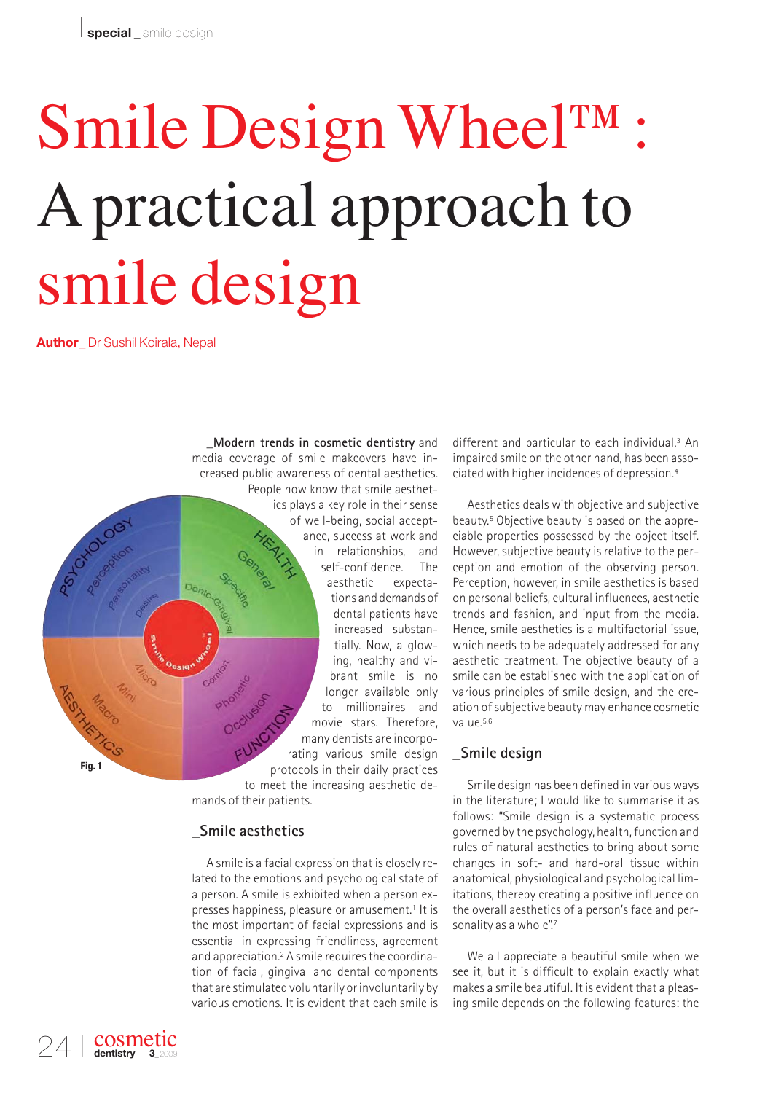# Smile Design Wheel™: Apractical approach to smile design

**Author\_** Dr Sushil Koirala, Nepal

**\_Modern trends in cosmetic dentistry** and media coverage of smile makeovers have increased public awareness of dental aesthetics. People now know that smile aesthetics plays a key role in their sense of well-being, social acceptance, success at work and in relationships, and self-confidence. The aesthetic expecta-Dente tions and demands of dental patients have increased substantially. Now, a glowing, healthy and vibrant smile is no longer available only to millionaires and movie stars. Therefore, many dentists are incorporating various smile design protocols in their daily practices to meet the increasing aesthetic demands of their patients.

# **\_Smile aesthetics**

A smile is a facial expression that is closely related to the emotions and psychological state of a person. A smile is exhibited when a person expresses happiness, pleasure or amusement.<sup>1</sup> It is the most important of facial expressions and is essential in expressing friendliness, agreement and appreciation.2 A smile requires the coordination of facial, gingival and dental components that are stimulated voluntarily or involuntarily by various emotions. It is evident that each smile is

different and particular to each individual.3 An impaired smile on the other hand, has been associated with higher incidences of depression.4

Aesthetics deals with objective and subjective beauty.5 Objective beauty is based on the appreciable properties possessed by the object itself. However, subjective beauty is relative to the perception and emotion of the observing person. Perception, however, in smile aesthetics is based on personal beliefs, cultural influences, aesthetic trends and fashion, and input from the media. Hence, smile aesthetics is a multifactorial issue, which needs to be adequately addressed for any aesthetic treatment. The objective beauty of a smile can be established with the application of various principles of smile design, and the creation of subjective beauty may enhance cosmetic value  $5,6$ 

# **\_Smile design**

Smile design has been defined in various ways in the literature; I would like to summarise it as follows: "Smile design is a systematic process governed by the psychology, health, function and rules of natural aesthetics to bring about some changes in soft- and hard-oral tissue within anatomical, physiological and psychological limitations, thereby creating a positive influence on the overall aesthetics of a person's face and personality as a whole".7

We all appreciate a beautiful smile when we see it, but it is difficult to explain exactly what makes a smile beautiful. It is evident that a pleasing smile depends on the following features: the

**Fig. 1**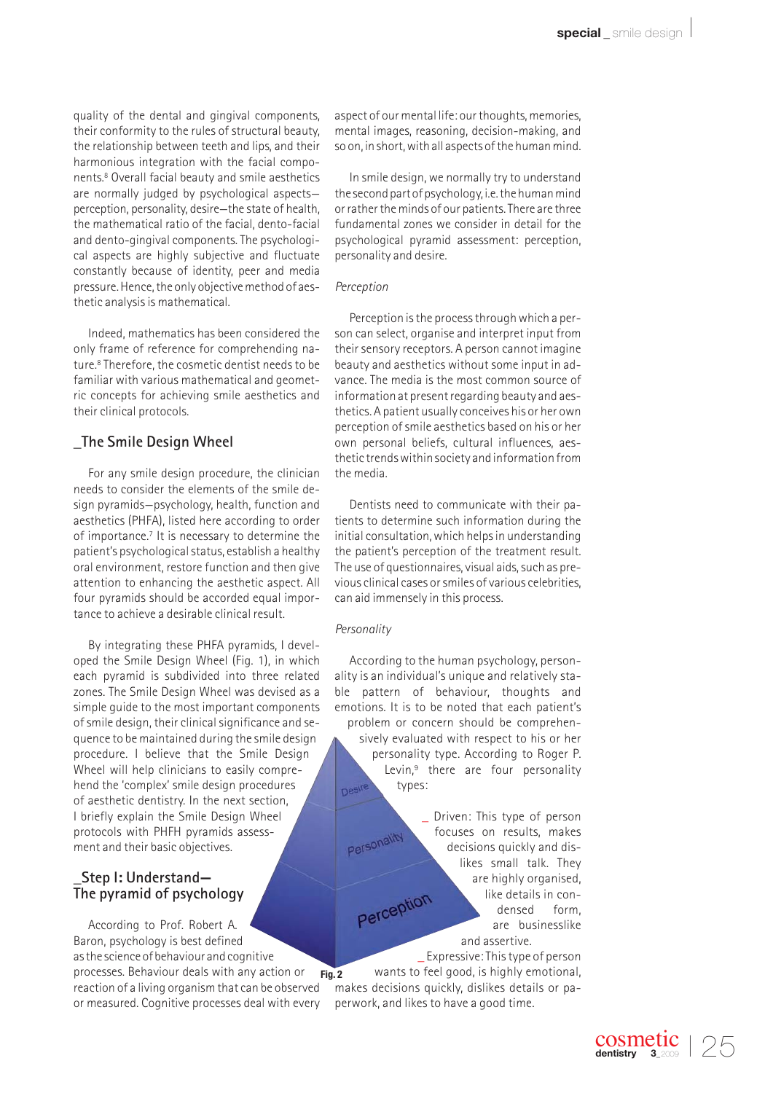quality of the dental and gingival components, their conformity to the rules of structural beauty, the relationship between teeth and lips, and their harmonious integration with the facial components.8 Overall facial beauty and smile aesthetics are normally judged by psychological aspects perception, personality, desire—the state of health, the mathematical ratio of the facial, dento-facial and dento-gingival components. The psychological aspects are highly subjective and fluctuate constantly because of identity, peer and media pressure. Hence, the only objective method of aesthetic analysis is mathematical.

Indeed, mathematics has been considered the only frame of reference for comprehending nature.8 Therefore, the cosmetic dentist needs to be familiar with various mathematical and geometric concepts for achieving smile aesthetics and their clinical protocols.

# **\_The Smile Design Wheel**

For any smile design procedure, the clinician needs to consider the elements of the smile design pyramids—psychology, health, function and aesthetics (PHFA), listed here according to order of importance.7 It is necessary to determine the patient's psychological status, establish a healthy oral environment, restore function and then give attention to enhancing the aesthetic aspect. All four pyramids should be accorded equal importance to achieve a desirable clinical result.

By integrating these PHFA pyramids, I developed the Smile Design Wheel (Fig. 1), in which each pyramid is subdivided into three related zones. The Smile Design Wheel was devised as a simple guide to the most important components of smile design, their clinical significance and sequence to be maintained during the smile design procedure. I believe that the Smile Design Wheel will help clinicians to easily comprehend the 'complex' smile design procedures of aesthetic dentistry. In the next section, I briefly explain the Smile Design Wheel protocols with PHFH pyramids assessment and their basic objectives.

# **\_Step I: Understand— The pyramid of psychology**

According to Prof. Robert A. Baron, psychology is best defined as the science of behaviour and cognitive

processes. Behaviour deals with any action or reaction of a living organism that can be observed or measured. Cognitive processes deal with every aspect of our mental life: our thoughts, memories, mental images, reasoning, decision-making, and so on, in short, with all aspects of the human mind.

In smile design, we normally try to understand the second part of psychology, i.e. the human mind or rather the minds of our patients. There are three fundamental zones we consider in detail for the psychological pyramid assessment: perception, personality and desire.

### *Perception*

Perception is the process through which a person can select, organise and interpret input from their sensory receptors. A person cannot imagine beauty and aesthetics without some input in advance. The media is the most common source of information at present regarding beauty and aesthetics. A patient usually conceives his or her own perception of smile aesthetics based on his or her own personal beliefs, cultural influences, aesthetic trends within society and information from the media.

Dentists need to communicate with their patients to determine such information during the initial consultation, which helps in understanding the patient's perception of the treatment result. The use of questionnaires, visual aids, such as previous clinical cases or smiles of various celebrities, can aid immensely in this process.

### *Personality*

According to the human psychology, personality is an individual's unique and relatively stable pattern of behaviour, thoughts and emotions. It is to be noted that each patient's problem or concern should be comprehensively evaluated with respect to his or her personality type. According to Roger P. Levin,<sup>9</sup> there are four personality types: Desire

Driven: This type of person focuses on results, makes decisions quickly and dislikes small talk. They are highly organised, Perception like details in condensed form, are businesslike and assertive. \_ Expressive: This type of person

wants to feel good, is highly emotional, makes decisions quickly, dislikes details or paperwork, and likes to have a good time. **Fig. 2**

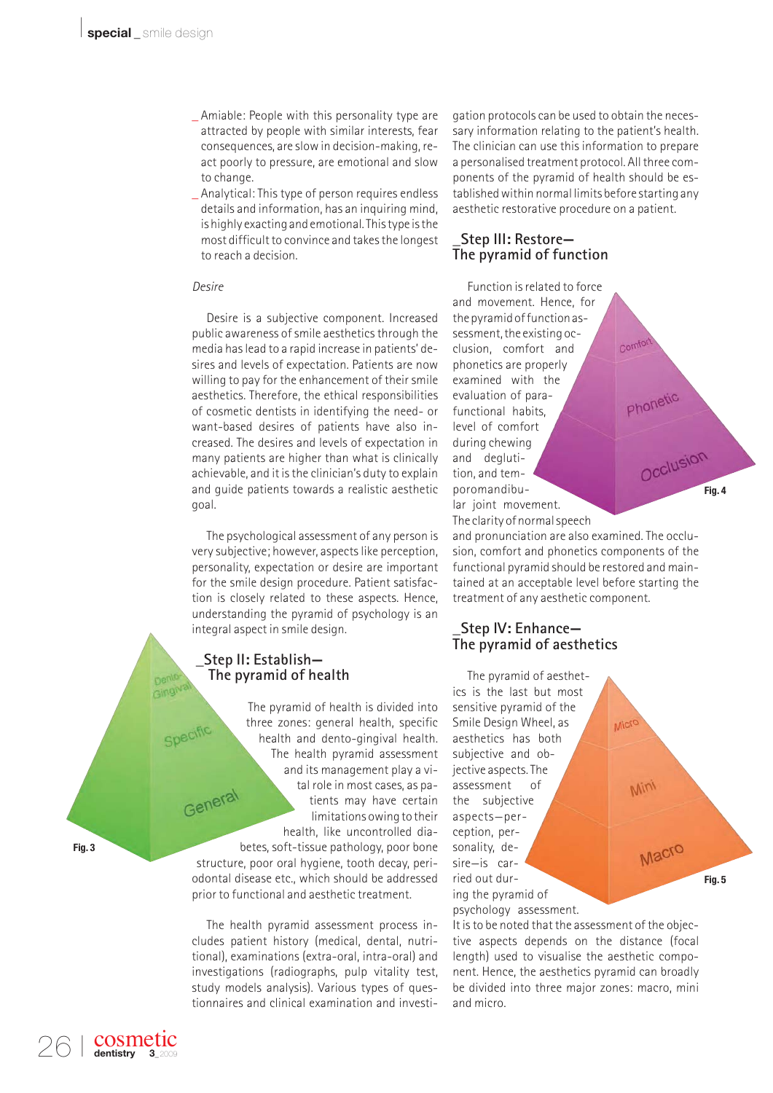- \_ Amiable: People with this personality type are attracted by people with similar interests, fear consequences, are slow in decision-making, react poorly to pressure, are emotional and slow to change.
- \_ Analytical: This type of person requires endless details and information, has an inquiring mind, is highly exacting and emotional. This type is the most difficult to convince and takes the longest to reach a decision.

### *Desire*

Desire is a subjective component. Increased public awareness of smile aesthetics through the media has lead to a rapid increase in patients' desires and levels of expectation. Patients are now willing to pay for the enhancement of their smile aesthetics. Therefore, the ethical responsibilities of cosmetic dentists in identifying the need- or want-based desires of patients have also increased. The desires and levels of expectation in many patients are higher than what is clinically achievable, and it is the clinician's duty to explain and guide patients towards a realistic aesthetic goal.

The psychological assessment of any person is very subjective; however, aspects like perception, personality, expectation or desire are important for the smile design procedure. Patient satisfaction is closely related to these aspects. Hence, understanding the pyramid of psychology is an integral aspect in smile design.

# **\_Step II: Establish— The pyramid of health**

The pyramid of health is divided into three zones: general health, specific health and dento-gingival health. The health pyramid assessment and its management play a vital role in most cases, as pa-General tients may have certain limitations owing to their health, like uncontrolled diabetes, soft-tissue pathology, poor bone structure, poor oral hygiene, tooth decay, periodontal disease etc., which should be addressed prior to functional and aesthetic treatment.

The health pyramid assessment process includes patient history (medical, dental, nutritional), examinations (extra-oral, intra-oral) and investigations (radiographs, pulp vitality test, study models analysis). Various types of questionnaires and clinical examination and investigation protocols can be used to obtain the necessary information relating to the patient's health. The clinician can use this information to prepare a personalised treatment protocol. All three components of the pyramid of health should be established within normal limits before starting any aesthetic restorative procedure on a patient.

# **\_Step III: Restore— The pyramid of function**

Function is related to force and movement. Hence, for the pyramid of function assessment, the existing occlusion, comfort and phonetics are properly examined with the evaluation of parafunctional habits, level of comfort during chewing and deglutition, and temporomandibular joint movement.

The clarity of normal speech

and pronunciation are also examined. The occlusion, comfort and phonetics components of the functional pyramid should be restored and maintained at an acceptable level before starting the treatment of any aesthetic component.

**Fig. 4**

Occlusion

# **\_Step IV: Enhance— The pyramid of aesthetics**

The pyramid of aesthetics is the last but most sensitive pyramid of the Smile Design Wheel, as Micro aesthetics has both subjective and objective aspects. The assessment of **Min** the subjective aspects—perception, per-Macro sonality, desire—is carried out dur-**Fig. 5**ing the pyramid of psychology assessment.

It is to be noted that the assessment of the objective aspects depends on the distance (focal length) used to visualise the aesthetic component. Hence, the aesthetics pyramid can broadly be divided into three major zones: macro, mini and micro.

26 I

cosmetic dentistry

Dento Gingiva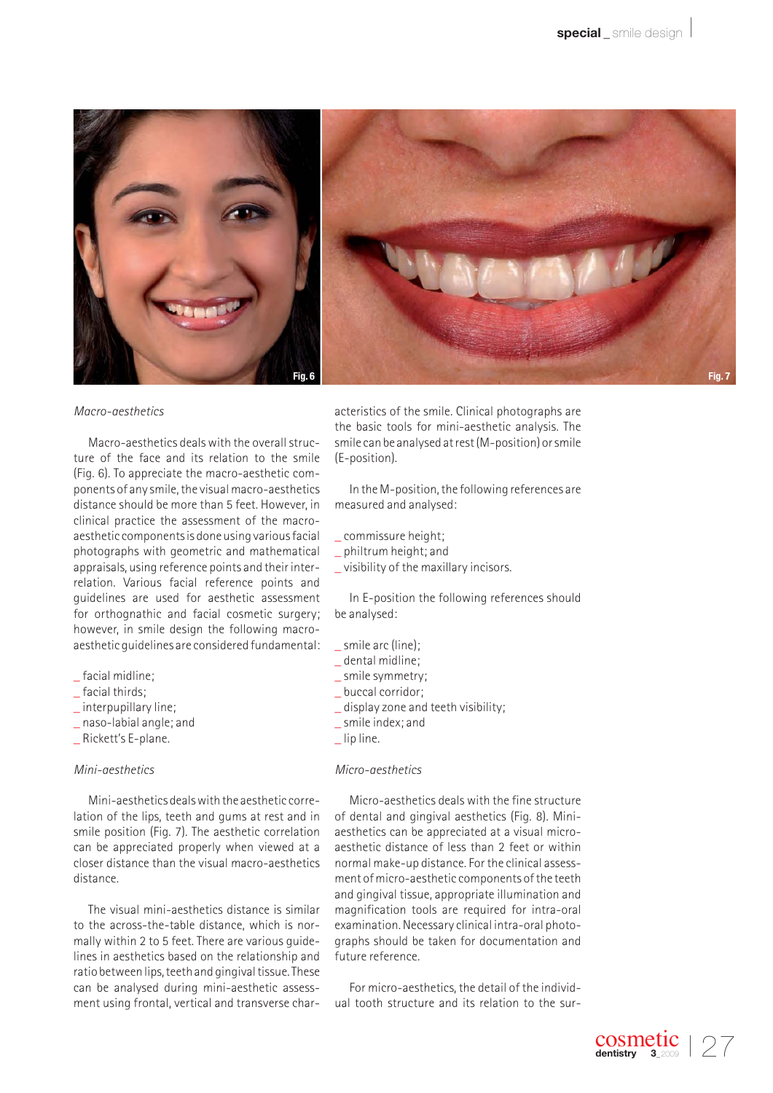

### *Macro-aesthetics*

Macro-aesthetics deals with the overall structure of the face and its relation to the smile (Fig. 6). To appreciate the macro-aesthetic components of any smile, the visual macro-aesthetics distance should be more than 5 feet. However, in clinical practice the assessment of the macroaesthetic components is done using various facial photographs with geometric and mathematical appraisals, using reference points and their interrelation. Various facial reference points and guidelines are used for aesthetic assessment for orthognathic and facial cosmetic surgery; however, in smile design the following macroaesthetic guidelines are considered fundamental:

- \_ facial midline;
- \_ facial thirds;
- \_ interpupillary line;
- \_ naso-labial angle; and
- \_ Rickett's E-plane.

### *Mini-aesthetics*

Mini-aesthetics deals with the aesthetic correlation of the lips, teeth and gums at rest and in smile position (Fig. 7). The aesthetic correlation can be appreciated properly when viewed at a closer distance than the visual macro-aesthetics distance.

The visual mini-aesthetics distance is similar to the across-the-table distance, which is normally within 2 to 5 feet. There are various guidelines in aesthetics based on the relationship and ratio between lips, teeth and gingival tissue. These can be analysed during mini-aesthetic assessment using frontal, vertical and transverse characteristics of the smile. Clinical photographs are the basic tools for mini-aesthetic analysis. The smile can be analysed at rest (M-position) or smile (E-position).

In the M-position, the following references are measured and analysed:

- \_ commissure height;
- \_ philtrum height; and
- \_ visibility of the maxillary incisors.

In E-position the following references should be analysed:

- \_ smile arc (line);
- \_ dental midline;
- smile symmetry;
- \_ buccal corridor;
- \_ display zone and teeth visibility;
- \_ smile index; and
- lip line.

### *Micro-aesthetics*

Micro-aesthetics deals with the fine structure of dental and gingival aesthetics (Fig. 8). Miniaesthetics can be appreciated at a visual microaesthetic distance of less than 2 feet or within normal make-up distance. For the clinical assessment of micro-aesthetic components of the teeth and gingival tissue, appropriate illumination and magnification tools are required for intra-oral examination. Necessary clinical intra-oral photographs should be taken for documentation and future reference.

For micro-aesthetics, the detail of the individual tooth structure and its relation to the sur-